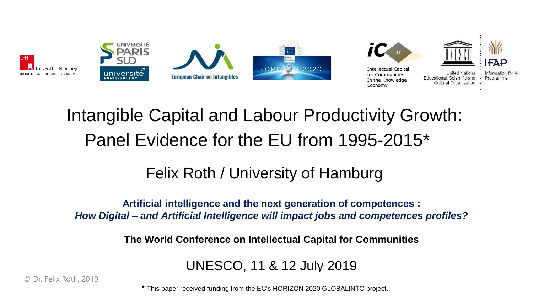

# Intangible Capital and Labour Productivity Growth: Panel Evidence for the EU from 1995-2015\*

### Felix Roth / University of Hamburg

### **Artificial intelligence and the next generation of competences :** *How Digital – and Artificial Intelligence will impact jobs and competences profiles?*

**The World Conference on Intellectual Capital for Communities**

UNESCO, 11 & 12 July 2019

 $\frac{1}{2}$  is the World Conference on  $\frac{1}{2}$   $\frac{1}{2}$   $\frac{1}{2}$   $\frac{1}{2}$  for Community  $\frac{1}{2}$  for Community  $\frac{1}{2}$ \* This paper received funding from the EC's HORIZON 2020 GLOBALINTO project.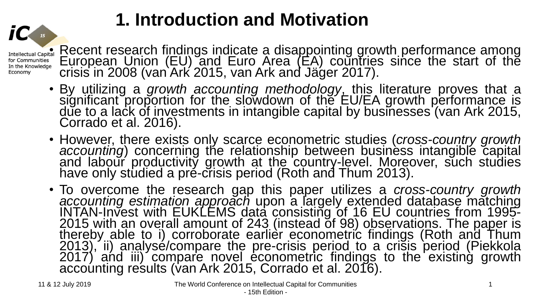# **1. Introduction and Motivation**

• Recent research findings indicate a disappointing growth performance among European Union  $(EU)$  and Euro Area  $(EA)$  countries since the start of the crisis in 2008 (van Ark 2015, van Ark and Jäger 2017).

- By utilizing a *growth accounting methodology*, this literature proves that a significant proportion for the slowdown of the EU/EA growth performance is due to a lack of investments in intangible capital by businesses (van Ark 2015, Corrado et al. 2016).
- However, there exists only scarce econometric studies (*cross-country growth accounting*) concerning the relationship between business intangible capital and labour productivity growth at the country-level. Moreover, such studies have only studied a pré-crisis period (Roth and Thum 2013).
- To overcome the research gap this paper utilizes a *cross-country growth accounting estimation approach* upon a largely extended database matching INTAN-Invest with EUKLEMS data consisting of 16 EU countries from 1995-2015 with an overall amount of 243 (instead of 98) observations. The paper is thereby able to i) corroborate earlièr econometric findings (Roth and Thum 2013), ii) analysé/compare the pre-crisis period to a crisis period (Piekkola 2017) and iii) compare novel econometric findings to the existing growth accoúnting reśults (van Ark 2015, Corrado et al. 2016).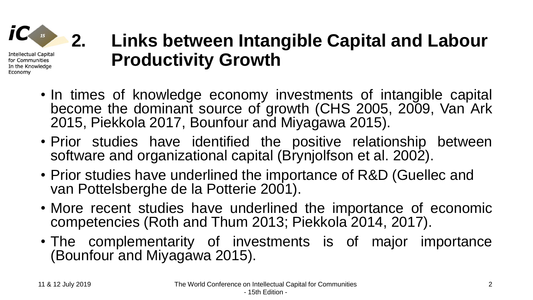

# **2. Links between Intangible Capital and Labour Productivity Growth**

- In times of knowledge economy investments of intangible capital become the dominant source of growth (CHS 2005, 2009, Van Ark 2015, Piekkola 2017, Bounfour and Miyagawa 2015).
- Prior studies have identified the positive relationship between software and organizational capital (Brynjolfson et al. 2002).
- Prior studies have underlined the importance of R&D (Guellec and van Pottelsberghe de la Potterie 2001).
- More recent studies have underlined the importance of economic competencies (Roth and Thum 2013; Piekkola 2014, 2017).
- The complementarity of investments is of major importance (Bounfour and Miyagawa 2015).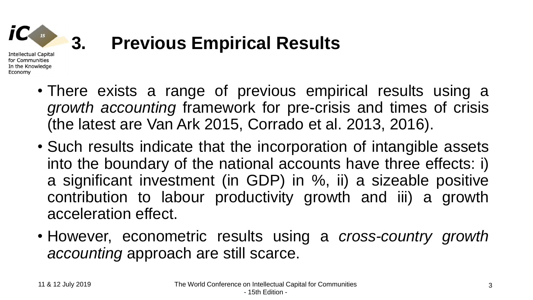

for Communities In the Knowledge

Economy

## **3. Previous Empirical Results**

- There exists a range of previous empirical results using a *growth accounting* framework for pre-crisis and times of crisis (the latest are Van Ark 2015, Corrado et al. 2013, 2016).
- Such results indicate that the incorporation of intangible assets into the boundary of the national accounts have three effects: i) a significant investment (in GDP) in %, ii) a sizeable positive contribution to labour productivity growth and iii) a growth acceleration effect.
- However, econometric results using a *cross-country growth accounting* approach are still scarce.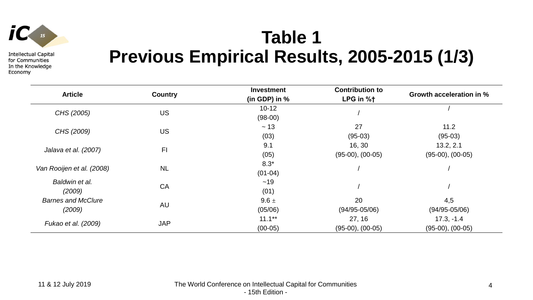

## **Table 1 Previous Empirical Results, 2005-2015 (1/3)**

| <b>Article</b>                      | <b>Country</b> | <b>Investment</b><br>(in GDP) in $%$ | <b>Contribution to</b><br>LPG in %t | Growth acceleration in %              |
|-------------------------------------|----------------|--------------------------------------|-------------------------------------|---------------------------------------|
| CHS (2005)                          | <b>US</b>      | $10 - 12$<br>$(98-00)$               |                                     |                                       |
| CHS (2009)                          | <b>US</b>      | $\sim$ 13<br>(03)                    | 27<br>$(95-03)$                     | 11.2<br>$(95-03)$                     |
| Jalava et al. (2007)                | F <sub>1</sub> | 9.1<br>(05)                          | 16, 30<br>$(95-00)$ , $(00-05)$     | 13.2, 2.1<br>$(95-00)$ , $(00-05)$    |
| Van Rooijen et al. (2008)           | <b>NL</b>      | $8.3*$<br>$(01-04)$                  |                                     |                                       |
| Baldwin et al.<br>(2009)            | CA             | ~19<br>(01)                          |                                     |                                       |
| <b>Barnes and McClure</b><br>(2009) | AU             | $9.6 \pm$<br>(05/06)                 | 20<br>$(94/95 - 05/06)$             | 4,5<br>$(94/95 - 05/06)$              |
| Fukao et al. (2009)                 | <b>JAP</b>     | $11.1***$<br>$(00-05)$               | 27, 16<br>$(95-00)$ , $(00-05)$     | $17.3, -1.4$<br>$(95-00)$ , $(00-05)$ |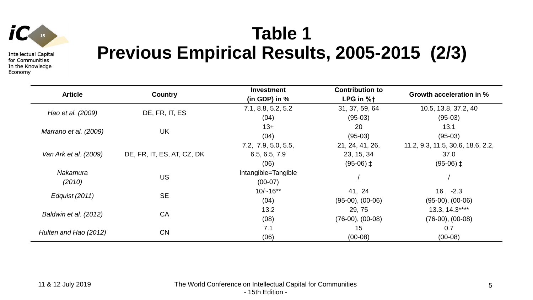

## **Table 1 Previous Empirical Results, 2005-2015 (2/3)**

| <b>Article</b>        | <b>Country</b>             | <b>Investment</b><br>(in GDP) in $%$ | <b>Contribution to</b><br>LPG in %t | Growth acceleration in %          |
|-----------------------|----------------------------|--------------------------------------|-------------------------------------|-----------------------------------|
| Hao et al. (2009)     | DE, FR, IT, ES             | 7.1, 8.8, 5.2, 5.2                   | 31, 37, 59, 64                      | 10.5, 13.8, 37.2, 40              |
|                       |                            | (04)                                 | $(95-03)$                           | $(95-03)$                         |
|                       | <b>UK</b>                  | 13 <sup>±</sup>                      | 20                                  | 13.1                              |
| Marrano et al. (2009) |                            | (04)                                 | $(95-03)$                           | $(95-03)$                         |
|                       |                            | 7.2, 7.9, 5.0, 5.5,                  | 21, 24, 41, 26,                     | 11.2, 9.3, 11.5, 30.6, 18.6, 2.2, |
| Van Ark et al. (2009) | DE, FR, IT, ES, AT, CZ, DK | 6.5, 6.5, 7.9                        | 23, 15, 34                          | 37.0                              |
|                       |                            | (06)                                 | $(95-06)$ ‡                         | $(95-06)$ ‡                       |
| Nakamura              | <b>US</b>                  | Intangible=Tangible                  |                                     |                                   |
| (2010)                |                            | $(00-07)$                            |                                     |                                   |
| Edguist (2011)        | <b>SE</b>                  | $10/-16**$                           | 41, 24                              | $16, -2.3$                        |
|                       |                            | (04)                                 | $(95-00)$ , $(00-06)$               | $(95-00)$ , $(00-06)$             |
| Baldwin et al. (2012) | CA                         | 13.2                                 | 29, 75                              | 13.3, 14.3****                    |
|                       |                            | (08)                                 | $(76-00), (00-08)$                  | $(76-00), (00-08)$                |
| Hulten and Hao (2012) | CN                         | 7.1                                  | 15                                  | 0.7                               |
|                       |                            | (06)                                 | $(00-08)$                           | $(00-08)$                         |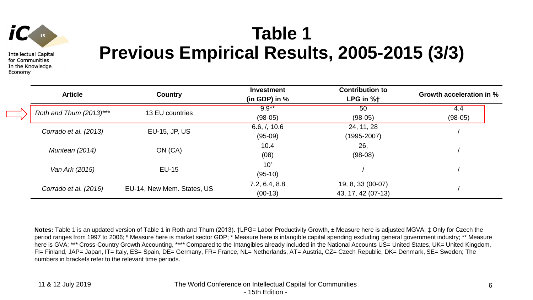

# **Table 1 Previous Empirical Results, 2005-2015 (3/3)**

| <b>Article</b>          | <b>Country</b>             | <b>Investment</b><br>(in GDP) in $%$ | <b>Contribution to</b><br>LPG in %t     | Growth acceleration in % |
|-------------------------|----------------------------|--------------------------------------|-----------------------------------------|--------------------------|
| Roth and Thum (2013)*** | 13 EU countries            | $9.9***$<br>$(98-05)$                | 50<br>$(98-05)$                         | 4.4<br>$(98-05)$         |
| Corrado et al. (2013)   | EU-15, JP, US              | 6.6, /, 10.6<br>$(95-09)$            | 24, 11, 28<br>$(1995 - 2007)$           |                          |
| Muntean (2014)          | ON (CA)                    | 10.4<br>(08)                         | 26,<br>$(98-08)$                        |                          |
| Van Ark (2015)          | <b>EU-15</b>               | 10 <sup>a</sup><br>$(95-10)$         |                                         |                          |
| Corrado et al. (2016)   | EU-14, New Mem. States, US | 7.2, 6.4, 8.8<br>$(00-13)$           | 19, 8, 33 (00-07)<br>43, 17, 42 (07-13) |                          |

**Notes:** Table 1 is an updated version of Table 1 in Roth and Thum (2013). †LPG= Labor Productivity Growth, ± Measure here is adjusted MGVA; ‡ Only for Czech the period ranges from 1997 to 2006; <sup>a</sup> Measure here is market sector GDP; \* Measure here is intangible capital spending excluding general government industry; \*\* Measure here is GVA; \*\*\* Cross-Country Growth Accounting, \*\*\*\* Compared to the Intangibles already included in the National Accounts US= United States, UK= United Kingdom, FI= Finland, JAP= Japan, IT= Italy, ES= Spain, DE= Germany, FR= France, NL= Netherlands, AT= Austria, CZ= Czech Republic, DK= Denmark, SE= Sweden; The numbers in brackets refer to the relevant time periods.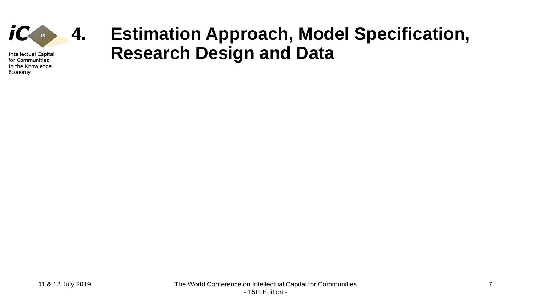

### **4. Estimation Approach, Model Specification, Research Design and Data**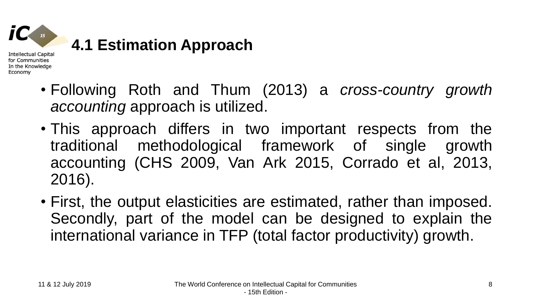

- Following Roth and Thum (2013) a *cross-country growth accounting* approach is utilized.
- This approach differs in two important respects from the traditional methodological framework of single growth accounting (CHS 2009, Van Ark 2015, Corrado et al, 2013, 2016).
- First, the output elasticities are estimated, rather than imposed. Secondly, part of the model can be designed to explain the international variance in TFP (total factor productivity) growth.

Economy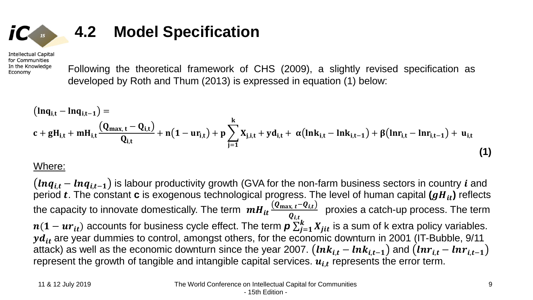$$
IC_{\mathbb{Z}} \longrightarrow
$$

### **4.2 Model Specification**

**Intellectual Capital** for Communities In the Knowledge Economy

Following the theoretical framework of CHS (2009), a slightly revised specification as developed by Roth and Thum (2013) is expressed in equation (1) below:

$$
(ln q_{i,t} - ln q_{i,t-1}) =
$$
\n
$$
c + gH_{i,t} + mH_{i,t} \frac{(Q_{max,t} - Q_{i,t})}{Q_{i,t}} + n(1 - ur_{i,t}) + p \sum_{j=1}^{k} X_{j,i,t} + yd_{i,t} + \alpha(lnk_{i,t} - lnk_{i,t-1}) + \beta(lnr_{i,t} - lnr_{i,t-1}) + u_{i,t}
$$
\n(1)

### Where:

 $(nq_{i,t} - lnq_{i,t-1})$  is labour productivity growth (GVA for the non-farm business sectors in country *i* and period  $t$ . The constant  $c$  is exogenous technological progress. The level of human capital  $(gH_{it})$  reflects the capacity to innovate domestically. The term  $\left. \bm{m}\bm{H}_{\bm{it}}\frac{(\bm{Q}_{\max,\bm{t}}-\bm{Q}_{\bm{i,t}})}{\bm{Q}_{\bm{t,t}}} \right|$  $\boldsymbol{\varrho}_{i,t}$ proxies a catch-up process. The term  $n(1-ur_{it})$  accounts for business cycle effect. The term  $\bm p\sum_{j=1}^k X_{jit}$  is a sum of k extra policy variables.  $y d_{it}$  are year dummies to control, amongst others, for the economic downturn in 2001 (IT-Bubble, 9/11 attack) as well as the economic downturn since the year 2007.  $(lnk_{i,t} - lnk_{i,t-1})$  and  $(lnr_{i,t} - lnr_{i,t-1})$ represent the growth of tangible and intangible capital services.  $u_{i,t}$  represents the error term.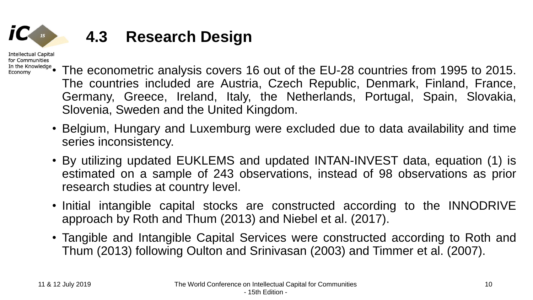**Intellectual Capital** for Communities

### **4.3 Research Design**

- In the Knowledge The econometric analysis covers 16 out of the EU-28 countries from 1995 to 2015. The countries included are Austria, Czech Republic, Denmark, Finland, France, Germany, Greece, Ireland, Italy, the Netherlands, Portugal, Spain, Slovakia, Slovenia, Sweden and the United Kingdom.
	- Belgium, Hungary and Luxemburg were excluded due to data availability and time series inconsistency.
	- By utilizing updated EUKLEMS and updated INTAN-INVEST data, equation (1) is estimated on a sample of 243 observations, instead of 98 observations as prior research studies at country level.
	- Initial intangible capital stocks are constructed according to the INNODRIVE approach by Roth and Thum (2013) and Niebel et al. (2017).
	- Tangible and Intangible Capital Services were constructed according to Roth and Thum (2013) following Oulton and Srinivasan (2003) and Timmer et al. (2007).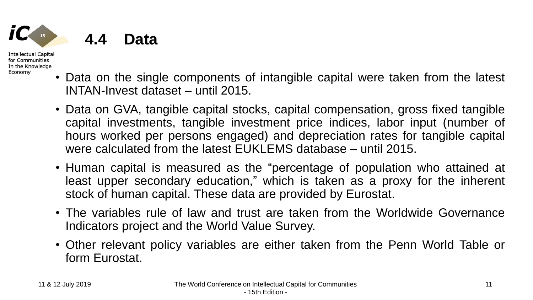

**4.4 Data** 

Intellectual Capital for Communities In the Knowledge Economy

- Data on the single components of intangible capital were taken from the latest INTAN-Invest dataset – until 2015.
- Data on GVA, tangible capital stocks, capital compensation, gross fixed tangible capital investments, tangible investment price indices, labor input (number of hours worked per persons engaged) and depreciation rates for tangible capital were calculated from the latest EUKLEMS database – until 2015.
- Human capital is measured as the "percentage of population who attained at least upper secondary education," which is taken as a proxy for the inherent stock of human capital. These data are provided by Eurostat.
- The variables rule of law and trust are taken from the Worldwide Governance Indicators project and the World Value Survey.
- Other relevant policy variables are either taken from the Penn World Table or form Eurostat.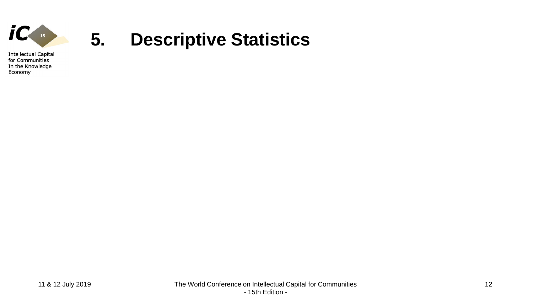

### **5. Descriptive Statistics**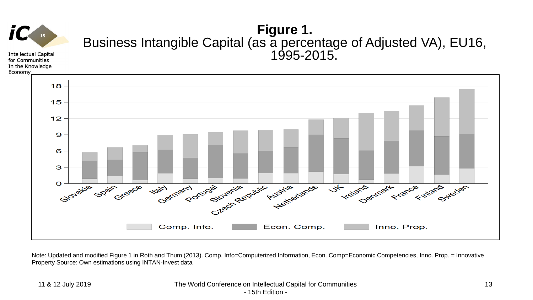

Note: Updated and modified Figure 1 in Roth and Thum (2013). Comp. Info=Computerized Information, Econ. Comp=Economic Competencies, Inno. Prop. = Innovative Property Source: Own estimations using INTAN-Invest data

### 11 & 12 July 2019 The World Conference on Intellectual Capital for Communities - 15th Edition -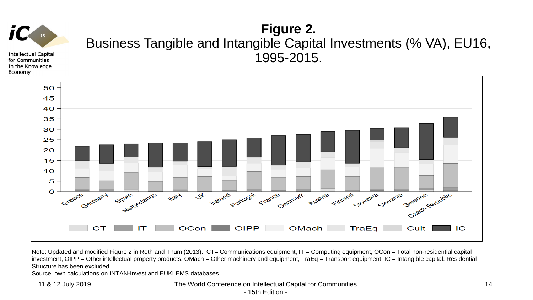# **15**

**Intellectual Capital** for Communities In the Knowledge Economy

### **Figure 2.**  Business Tangible and Intangible Capital Investments (% VA), EU16, 1995-2015.



Note: Updated and modified Figure 2 in Roth and Thum (2013). CT= Communications equipment, IT = Computing equipment, OCon = Total non-residential capital investment, OIPP = Other intellectual property products, OMach = Other machinery and equipment, TraEq = Transport equipment, IC = Intangible capital. Residential Structure has been excluded.

Source: own calculations on INTAN-Invest and EUKLEMS databases.

11 & 12 July 2019 The World Conference on Intellectual Capital for Communities

- 15th Edition -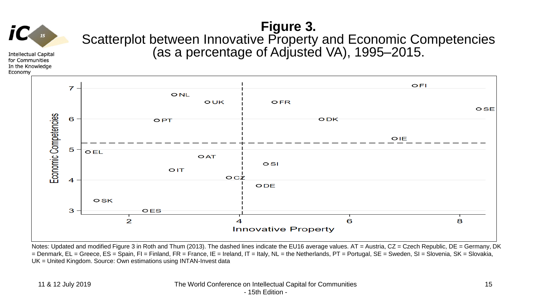

**Figure 3.**  Scatterplot between Innovative Property and Economic Competencies (as a percentage of Adjusted VA), 1995–2015.

**Intellectual Capital** for Communities In the Knowledge Economy



Notes: Updated and modified Figure 3 in Roth and Thum (2013). The dashed lines indicate the EU16 average values. AT = Austria, CZ = Czech Republic, DE = Germany, DK = Denmark, EL = Greece, ES = Spain, FI = Finland, FR = France, IE = Ireland, IT = Italy, NL = the Netherlands, PT = Portugal, SE = Sweden, SI = Slovenia, SK = Slovakia, UK = United Kingdom. Source: Own estimations using INTAN-Invest data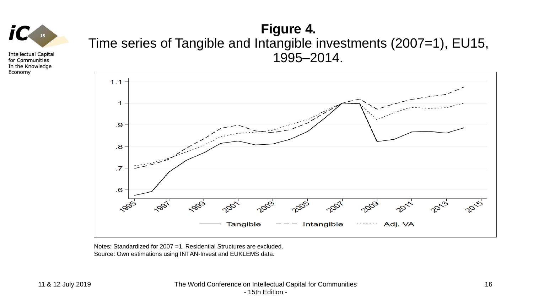

### **Figure 4.**  Time series of Tangible and Intangible investments (2007=1), EU15, 1995–2014.



Notes: Standardized for 2007 =1. Residential Structures are excluded. Source: Own estimations using INTAN-Invest and EUKLEMS data.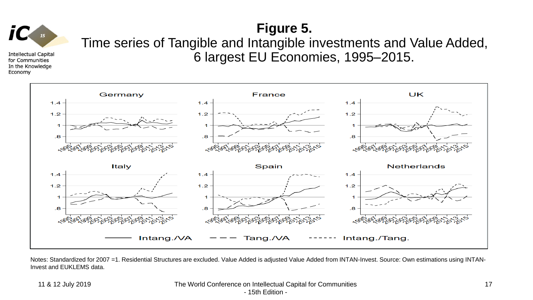

### **Figure 5.**

Time series of Tangible and Intangible investments and Value Added, 6 largest EU Economies, 1995–2015.



Notes: Standardized for 2007 =1. Residential Structures are excluded. Value Added is adjusted Value Added from INTAN-Invest. Source: Own estimations using INTAN-Invest and EUKLEMS data.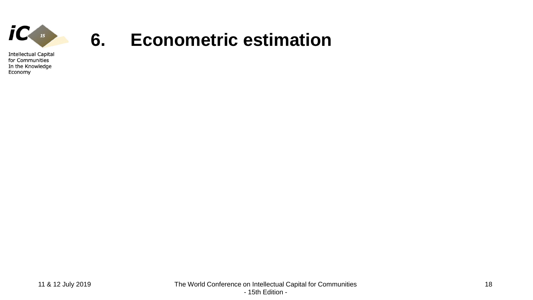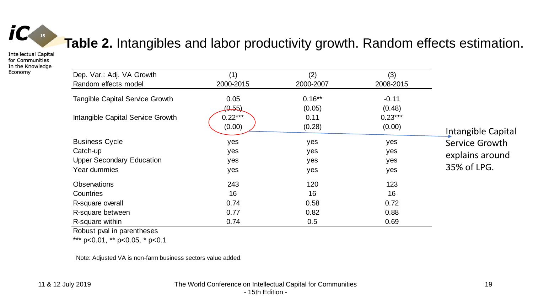

### **Table 2.** Intangibles and labor productivity growth. Random effects estimation.

**Intellectual Capital** for Communities In the Knowledge Economy

| Dep. Var.: Adj. VA Growth              | (1)       | (2)       | (3)       |                    |
|----------------------------------------|-----------|-----------|-----------|--------------------|
| Random effects model                   | 2000-2015 | 2000-2007 | 2008-2015 |                    |
| <b>Tangible Capital Service Growth</b> | 0.05      | $0.16**$  | $-0.11$   |                    |
|                                        | (0.55)    | (0.05)    | (0.48)    |                    |
| Intangible Capital Service Growth      | $0.22***$ | 0.11      | $0.23***$ |                    |
|                                        | (0.00)    | (0.28)    | (0.00)    | Intangible Capital |
| <b>Business Cycle</b>                  | yes       | yes       | yes       | Service Growth     |
| Catch-up                               | yes       | yes       | yes       |                    |
| <b>Upper Secondary Education</b>       | yes       | yes       | yes       | explains around    |
| Year dummies                           | yes       | yes       | yes       | 35% of LPG.        |
| <b>Observations</b>                    | 243       | 120       | 123       |                    |
| <b>Countries</b>                       | 16        | 16        | 16        |                    |
| R-square overall                       | 0.74      | 0.58      | 0.72      |                    |
| R-square between                       | 0.77      | 0.82      | 0.88      |                    |
| R-square within                        | 0.74      | 0.5       | 0.69      |                    |

Robust pval in parentheses

\*\*\* p<0.01, \*\* p<0.05, \* p<0.1

Note: Adjusted VA is non-farm business sectors value added.